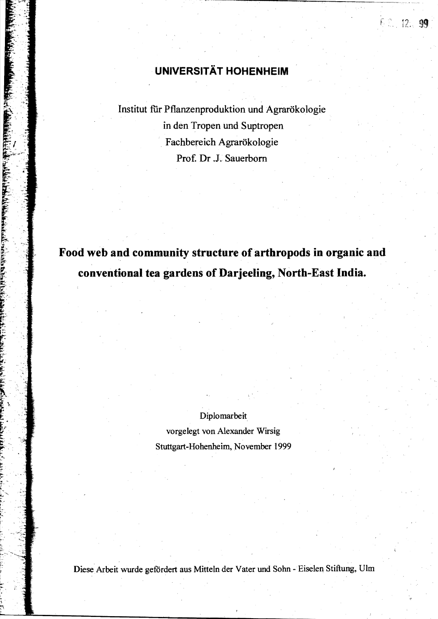# .**UNIVERSITÄT HOHENHEIM**

f n<sub>n</sub> 12. i

~

Institut für Pflanzenproduktion und Agrarökologie in den Tropen und Suptropen . Fachbereich Agrarökologie Prof. Dr .J. Sauerbom

# **Food web and community structure of arthropods in organic and conventional tea gardens of Darjeeling, North-East India.**

Diplomarbeit vorgelegt von Alexander Wirsig Stuttgart-Hohenheim, November 1999

DieseArbeit wurde gefordert aus Mitteln der Vater und Sohn -Eiselen Stiftung, Ulm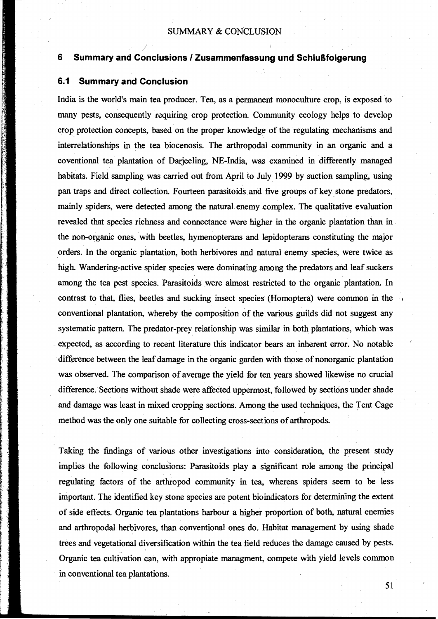## SUMMARY & CONCLUSION

# **6 Summary and Conclusions I Zusammenfassung und Schlußfolgerung**

### **6.1 Summary and Conclusion**

India is the world's main tea producer. Tea, as a permanent monoculture crop, is exposed to many pests, consequently requiring crop protection. Community ecology helps to develop crop protection concepts, based on the proper knowledge of the regulating mechanisms and interrelationships in the tea biocenosis. The arthropodal community in an organic and a coventional tea plantation of Darjeeling, NE-India, was exarnined in differently managed habitats. Field sampling was carried out from April to July 1999 by suction sampling, using pan traps and direct collection. Fourteen parasitoids and five groups of key stone predators, mainly spiders, were detected among the natural enemy complex. The qualitative evaluation revealed that species richness and connectance were higher in the organic plantation than in . the non-organic ones, with beetles, hymenopterans and lepidopterans constituting the major orders. In the organic plantation, both herbivores and natural enemy species, were twice as high. Wandering-active spider species were dominating among the predators arid leaf suckers among the tea pest species. Parasitoids were almost restricted to the organic plantation. In contrast to that, flies, beetles and sucking insect species (Homoptera) were common in the conventional plantation, whereby the composition of the various guilds did not suggest any systematic pattern. The predator-prey relationship was similar in both plantations, which was expected, as according to recent literature this indicator bears an inherent error. No notable difference between the leaf damage in the organic garden with those of nonorganic plantation was observed. The comparison of average the yield for ten years showed likewise no crucial difference. Sections without shade were affected uppermost, followed by sections under shade and damage was least in mixed cropping sections. Among the used techniques, the Tent Cage method was the only one suitable for collecting cross-sections of arthropods.

Taking the findings of various other investigations into consideration, the present study implies the following conclusions: Parasitoids play a significant role among the principal regulating factors of the arthropod community in tea, whereas spiders seem to be less important. The identified key stone species are potent bioindicators for determining the extent of side effects. Organic tea plantations harbour a higher proportion of both, natural enemies and arthropodal herbivores, than conventional ones do. Habitat management by using shade trees and vegetational diversification within the tea field reduces the damage caused by pests. Organic tea cultivation can, with appropiate managment, compete with yield levels common in conventional tea plantations.